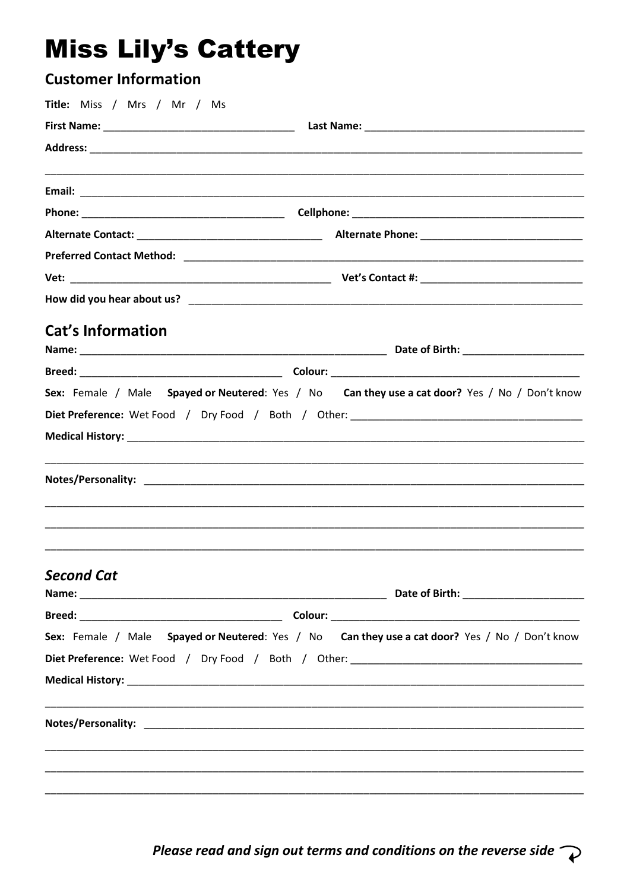# **Miss Lily's Cattery**

| <b>Customer Information</b> |                                                                                                |
|-----------------------------|------------------------------------------------------------------------------------------------|
| Title: Miss / Mrs / Mr / Ms |                                                                                                |
|                             |                                                                                                |
|                             |                                                                                                |
|                             |                                                                                                |
|                             |                                                                                                |
|                             |                                                                                                |
|                             |                                                                                                |
|                             |                                                                                                |
|                             |                                                                                                |
|                             |                                                                                                |
|                             |                                                                                                |
| <b>Cat's Information</b>    |                                                                                                |
|                             |                                                                                                |
|                             |                                                                                                |
|                             | Sex: Female / Male Spayed or Neutered: Yes / No Can they use a cat door? Yes / No / Don't know |
|                             |                                                                                                |
|                             |                                                                                                |
|                             |                                                                                                |
|                             |                                                                                                |
|                             |                                                                                                |
|                             |                                                                                                |
|                             |                                                                                                |
| <b>Second Cat</b>           |                                                                                                |
|                             |                                                                                                |
|                             |                                                                                                |
|                             | Sex: Female / Male Spayed or Neutered: Yes / No Can they use a cat door? Yes / No / Don't know |
|                             |                                                                                                |
|                             |                                                                                                |
|                             |                                                                                                |
|                             |                                                                                                |
|                             |                                                                                                |
|                             |                                                                                                |
|                             |                                                                                                |
|                             |                                                                                                |